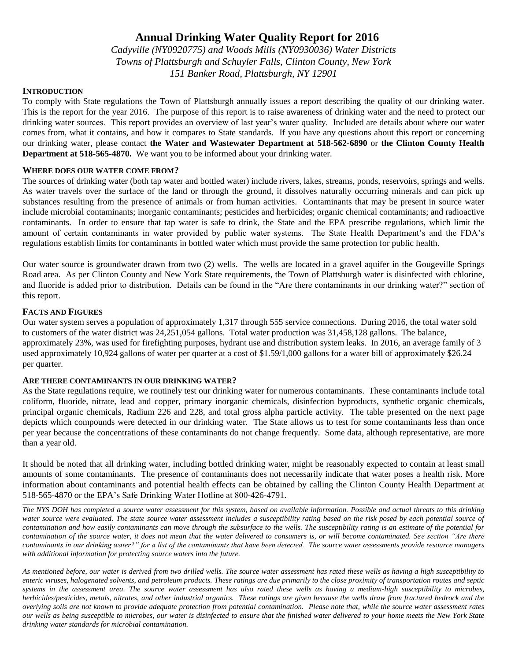# **Annual Drinking Water Quality Report for 2016**

*Cadyville (NY0920775) and Woods Mills (NY0930036) Water Districts Towns of Plattsburgh and Schuyler Falls, Clinton County, New York 151 Banker Road, Plattsburgh, NY 12901*

## **INTRODUCTION**

To comply with State regulations the Town of Plattsburgh annually issues a report describing the quality of our drinking water. This is the report for the year 2016. The purpose of this report is to raise awareness of drinking water and the need to protect our drinking water sources. This report provides an overview of last year's water quality. Included are details about where our water comes from, what it contains, and how it compares to State standards. If you have any questions about this report or concerning our drinking water, please contact **the Water and Wastewater Department at 518-562-6890** or **the Clinton County Health Department at 518-565-4870.** We want you to be informed about your drinking water.

# **WHERE DOES OUR WATER COME FROM?**

The sources of drinking water (both tap water and bottled water) include rivers, lakes, streams, ponds, reservoirs, springs and wells. As water travels over the surface of the land or through the ground, it dissolves naturally occurring minerals and can pick up substances resulting from the presence of animals or from human activities. Contaminants that may be present in source water include microbial contaminants; inorganic contaminants; pesticides and herbicides; organic chemical contaminants; and radioactive contaminants. In order to ensure that tap water is safe to drink, the State and the EPA prescribe regulations, which limit the amount of certain contaminants in water provided by public water systems. The State Health Department's and the FDA's regulations establish limits for contaminants in bottled water which must provide the same protection for public health.

Our water source is groundwater drawn from two (2) wells. The wells are located in a gravel aquifer in the Gougeville Springs Road area. As per Clinton County and New York State requirements, the Town of Plattsburgh water is disinfected with chlorine, and fluoride is added prior to distribution. Details can be found in the "Are there contaminants in our drinking water?" section of this report.

# **FACTS AND FIGURES**

Our water system serves a population of approximately 1,317 through 555 service connections. During 2016, the total water sold to customers of the water district was 24,251,054 gallons. Total water production was 31,458,128 gallons. The balance, approximately 23%, was used for firefighting purposes, hydrant use and distribution system leaks. In 2016, an average family of 3 used approximately 10,924 gallons of water per quarter at a cost of \$1.59/1,000 gallons for a water bill of approximately \$26.24 per quarter.

# **ARE THERE CONTAMINANTS IN OUR DRINKING WATER?**

As the State regulations require, we routinely test our drinking water for numerous contaminants. These contaminants include total coliform, fluoride, nitrate, lead and copper, primary inorganic chemicals, disinfection byproducts, synthetic organic chemicals, principal organic chemicals, Radium 226 and 228, and total gross alpha particle activity. The table presented on the next page depicts which compounds were detected in our drinking water. The State allows us to test for some contaminants less than once per year because the concentrations of these contaminants do not change frequently. Some data, although representative, are more than a year old.

It should be noted that all drinking water, including bottled drinking water, might be reasonably expected to contain at least small amounts of some contaminants. The presence of contaminants does not necessarily indicate that water poses a health risk. More information about contaminants and potential health effects can be obtained by calling the Clinton County Health Department at 518-565-4870 or the EPA's Safe Drinking Water Hotline at 800-426-4791.

*The NYS DOH has completed a source water assessment for this system, based on available information. Possible and actual threats to this drinking water source were evaluated. The state source water assessment includes a susceptibility rating based on the risk posed by each potential source of contamination and how easily contaminants can move through the subsurface to the wells. The susceptibility rating is an estimate of the potential for contamination of the source water, it does not mean that the water delivered to consumers is, or will become contaminated. See section "Are there contaminants in our drinking water?" for a list of the contaminants that have been detected. The source water assessments provide resource managers with additional information for protecting source waters into the future.* 

*As mentioned before, our water is derived from two drilled wells. The source water assessment has rated these wells as having a high susceptibility to enteric viruses, halogenated solvents, and petroleum products. These ratings are due primarily to the close proximity of transportation routes and septic systems in the assessment area. The source water assessment has also rated these wells as having a medium-high susceptibility to microbes, herbicides/pesticides, metals, nitrates, and other industrial organics. These ratings are given because the wells draw from fractured bedrock and the overlying soils are not known to provide adequate protection from potential contamination. Please note that, while the source water assessment rates our wells as being susceptible to microbes, our water is disinfected to ensure that the finished water delivered to your home meets the New York State drinking water standards for microbial contamination.*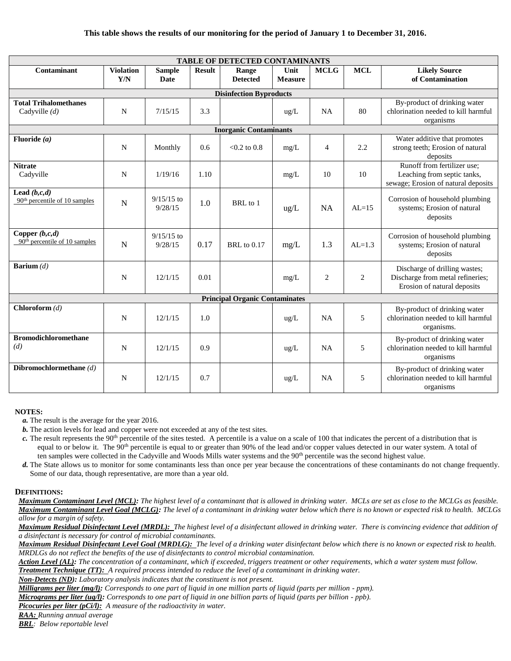#### **This table shows the results of our monitoring for the period of January 1 to December 31, 2016.**

| <b>TABLE OF DETECTED CONTAMINANTS</b>                 |                         |                              |               |                          |                        |                |                |                                                                                                   |
|-------------------------------------------------------|-------------------------|------------------------------|---------------|--------------------------|------------------------|----------------|----------------|---------------------------------------------------------------------------------------------------|
| Contaminant                                           | <b>Violation</b><br>Y/N | <b>Sample</b><br><b>Date</b> | <b>Result</b> | Range<br><b>Detected</b> | Unit<br><b>Measure</b> | <b>MCLG</b>    | <b>MCL</b>     | <b>Likely Source</b><br>of Contamination                                                          |
| <b>Disinfection Byproducts</b>                        |                         |                              |               |                          |                        |                |                |                                                                                                   |
| <b>Total Trihalomethanes</b><br>Cadyville $(d)$       | N                       | 7/15/15                      | 3.3           |                          | ug/L                   | <b>NA</b>      | 80             | By-product of drinking water<br>chlorination needed to kill harmful<br>organisms                  |
| <b>Inorganic Contaminants</b>                         |                         |                              |               |                          |                        |                |                |                                                                                                   |
| Fluoride $(a)$                                        | N                       | Monthly                      | 0.6           | $< 0.2$ to 0.8           | mg/L                   | $\overline{4}$ | 2.2            | Water additive that promotes<br>strong teeth; Erosion of natural<br>deposits                      |
| <b>Nitrate</b><br>Cadyville                           | N                       | 1/19/16                      | 1.10          |                          | mg/L                   | 10             | 10             | Runoff from fertilizer use;<br>Leaching from septic tanks,<br>sewage; Erosion of natural deposits |
| Lead $(b, c, d)$<br>$90th$ percentile of 10 samples   | $\mathbf N$             | $9/15/15$ to<br>9/28/15      | 1.0           | BRL to 1                 | $\text{ug/L}$          | <b>NA</b>      | $AL=15$        | Corrosion of household plumbing<br>systems; Erosion of natural<br>deposits                        |
| Copper $(b, c, d)$<br>$90th$ percentile of 10 samples | $\mathbf N$             | $9/15/15$ to<br>9/28/15      | 0.17          | <b>BRL</b> to 0.17       | mg/L                   | 1.3            | $AL=1.3$       | Corrosion of household plumbing<br>systems; Erosion of natural<br>deposits                        |
| <b>Barium</b> $(d)$                                   | N                       | 12/1/15                      | 0.01          |                          | mg/L                   | $\overline{2}$ | $\overline{c}$ | Discharge of drilling wastes;<br>Discharge from metal refineries;<br>Erosion of natural deposits  |
| <b>Principal Organic Contaminates</b>                 |                         |                              |               |                          |                        |                |                |                                                                                                   |
| Chloroform $(d)$                                      | N                       | 12/1/15                      | 1.0           |                          | ug/L                   | <b>NA</b>      | 5              | By-product of drinking water<br>chlorination needed to kill harmful<br>organisms.                 |
| <b>Bromodichloromethane</b><br>(d)                    | $\mathbf N$             | 12/1/15                      | 0.9           |                          | ug/L                   | <b>NA</b>      | 5              | By-product of drinking water<br>chlorination needed to kill harmful<br>organisms                  |
| Dibromochlormethane $(d)$                             | N                       | 12/1/15                      | 0.7           |                          | $\text{ug/L}$          | <b>NA</b>      | 5              | By-product of drinking water<br>chlorination needed to kill harmful<br>organisms                  |

#### **NOTES:**

- *a.* The result is the average for the year 2016.
- *b.* The action levels for lead and copper were not exceeded at any of the test sites.
- $c$ . The result represents the 90<sup>th</sup> percentile of the sites tested. A percentile is a value on a scale of 100 that indicates the percent of a distribution that is equal to or below it. The 90<sup>th</sup> percentile is equal to or greater than 90% of the lead and/or copper values detected in our water system. A total of ten samples were collected in the Cadyville and Woods Mills water systems and the 90<sup>th</sup> percentile was the second highest value.
- *d.* The State allows us to monitor for some contaminants less than once per year because the concentrations of these contaminants do not change frequently. Some of our data, though representative, are more than a year old.

#### **DEFINITIONS:**

*Maximum Contaminant Level (MCL): The highest level of a contaminant that is allowed in drinking water. MCLs are set as close to the MCLGs as feasible. Maximum Contaminant Level Goal (MCLG): The level of a contaminant in drinking water below which there is no known or expected risk to health. MCLGs allow for a margin of safety.*

*Maximum Residual Disinfectant Level (MRDL): The highest level of a disinfectant allowed in drinking water. There is convincing evidence that addition of a disinfectant is necessary for control of microbial contaminants.*

*Maximum Residual Disinfectant Level Goal (MRDLG): The level of a drinking water disinfectant below which there is no known or expected risk to health. MRDLGs do not reflect the benefits of the use of disinfectants to control microbial contamination.*

*Action Level (AL): The concentration of a contaminant, which if exceeded, triggers treatment or other requirements, which a water system must follow.*

*Treatment Technique (TT): A required process intended to reduce the level of a contaminant in drinking water.*

*Non-Detects (ND): Laboratory analysis indicates that the constituent is not present.*

*Milligrams per liter (mg/l): Corresponds to one part of liquid in one million parts of liquid (parts per million - ppm).* 

*Micrograms per liter (ug/l): Corresponds to one part of liquid in one billion parts of liquid (parts per billion - ppb).*

*Picocuries per liter (pCi/l): A measure of the radioactivity in water.*

*RAA: Running annual average*

*BRL: Below reportable level*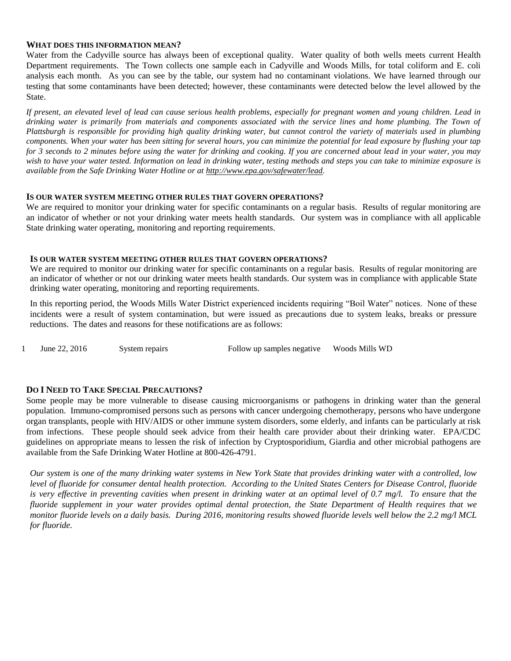#### **WHAT DOES THIS INFORMATION MEAN?**

Water from the Cadyville source has always been of exceptional quality. Water quality of both wells meets current Health Department requirements. The Town collects one sample each in Cadyville and Woods Mills, for total coliform and E. coli analysis each month. As you can see by the table, our system had no contaminant violations. We have learned through our testing that some contaminants have been detected; however, these contaminants were detected below the level allowed by the State.

*If present, an elevated level of lead can cause serious health problems, especially for pregnant women and young children. Lead in drinking water is primarily from materials and components associated with the service lines and home plumbing. The Town of Plattsburgh is responsible for providing high quality drinking water, but cannot control the variety of materials used in plumbing components. When your water has been sitting for several hours, you can minimize the potential for lead exposure by flushing your tap for 3 seconds to 2 minutes before using the water for drinking and cooking. If you are concerned about lead in your water, you may wish to have your water tested. Information on lead in drinking water, testing methods and steps you can take to minimize exposure is available from the Safe Drinking Water Hotline or at http://www.epa.gov/safewater/lead.*

#### **IS OUR WATER SYSTEM MEETING OTHER RULES THAT GOVERN OPERATIONS?**

We are required to monitor your drinking water for specific contaminants on a regular basis. Results of regular monitoring are an indicator of whether or not your drinking water meets health standards. Our system was in compliance with all applicable State drinking water operating, monitoring and reporting requirements.

#### **IS OUR WATER SYSTEM MEETING OTHER RULES THAT GOVERN OPERATIONS?**

We are required to monitor our drinking water for specific contaminants on a regular basis. Results of regular monitoring are an indicator of whether or not our drinking water meets health standards. Our system was in compliance with applicable State drinking water operating, monitoring and reporting requirements.

In this reporting period, the Woods Mills Water District experienced incidents requiring "Boil Water" notices. None of these incidents were a result of system contamination, but were issued as precautions due to system leaks, breaks or pressure reductions. The dates and reasons for these notifications are as follows:

1 June 22, 2016 System repairs Follow up samples negative Woods Mills WD

### **DO I NEED TO TAKE SPECIAL PRECAUTIONS?**

Some people may be more vulnerable to disease causing microorganisms or pathogens in drinking water than the general population. Immuno-compromised persons such as persons with cancer undergoing chemotherapy, persons who have undergone organ transplants, people with HIV/AIDS or other immune system disorders, some elderly, and infants can be particularly at risk from infections. These people should seek advice from their health care provider about their drinking water. EPA/CDC guidelines on appropriate means to lessen the risk of infection by Cryptosporidium, Giardia and other microbial pathogens are available from the Safe Drinking Water Hotline at 800-426-4791.

*Our system is one of the many drinking water systems in New York State that provides drinking water with a controlled, low level of fluoride for consumer dental health protection. According to the United States Centers for Disease Control, fluoride is very effective in preventing cavities when present in drinking water at an optimal level of 0.7 mg/l. To ensure that the fluoride supplement in your water provides optimal dental protection, the State Department of Health requires that we monitor fluoride levels on a daily basis. During 2016, monitoring results showed fluoride levels well below the 2.2 mg/l MCL for fluoride.*